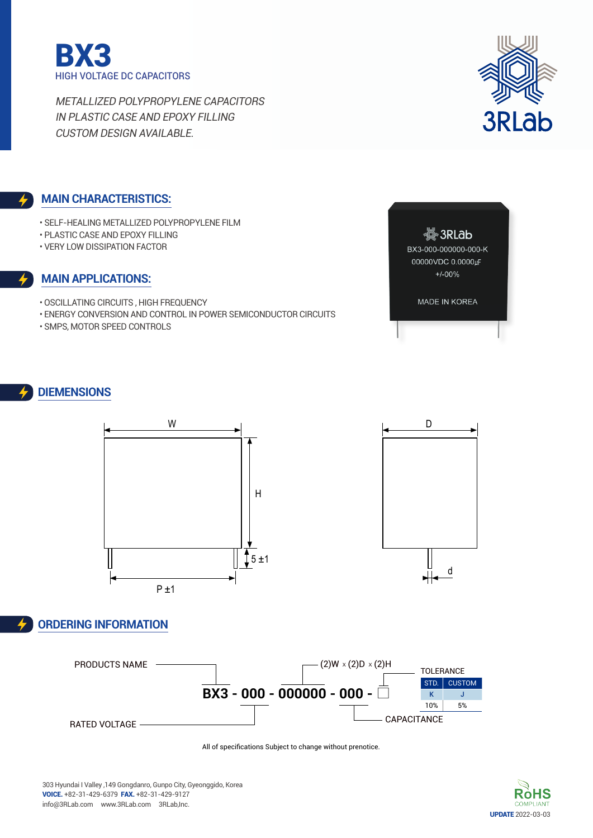



### **Main characteristics:**

- Self-Healing Metallized Polypropylene Film
- Plastic case and Epoxy filling
- Very low dissipation factor

#### **Main applications:**

- Oscillating circuits , High frequency
- Energy conversion and control in power semiconductor circuits
- SMPS, Motor speed controls



MADE IN KOREA

### **DIEMENSIONs**



## **Ordering Information**





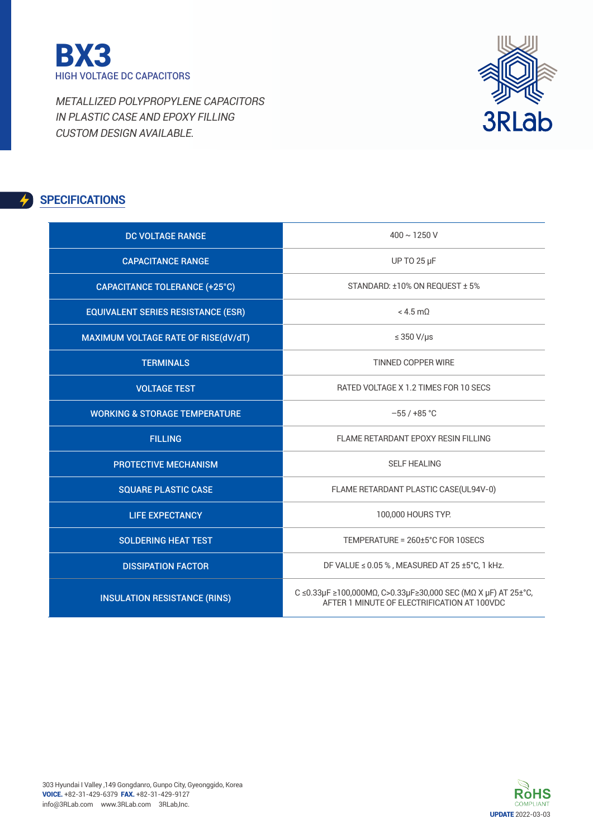



# **SPECIFICATIONS**

| <b>DC VOLTAGE RANGE</b>                   | $400 \sim 1250$ V                                                                                            |
|-------------------------------------------|--------------------------------------------------------------------------------------------------------------|
| <b>CAPACITANCE RANGE</b>                  | <b>UP TO 25 µF</b>                                                                                           |
| <b>CAPACITANCE TOLERANCE (+25°C)</b>      | STANDARD: ±10% ON REQUEST ± 5%                                                                               |
| <b>EQUIVALENT SERIES RESISTANCE (ESR)</b> | $< 4.5$ m $0$                                                                                                |
| MAXIMUM VOLTAGE RATE OF RISE(dV/dT)       | $\leq$ 350 V/µs                                                                                              |
| <b>TERMINALS</b>                          | TINNED COPPER WIRE                                                                                           |
| <b>VOLTAGE TEST</b>                       | RATED VOLTAGE X 1.2 TIMES FOR 10 SECS                                                                        |
| <b>WORKING &amp; STORAGE TEMPERATURE</b>  | $-55/ +85$ °C                                                                                                |
| <b>FILLING</b>                            | FLAME RETARDANT EPOXY RESIN FILLING                                                                          |
| <b>PROTECTIVE MECHANISM</b>               | <b>SELF HEALING</b>                                                                                          |
| <b>SQUARE PLASTIC CASE</b>                | FLAME RETARDANT PLASTIC CASE(UL94V-0)                                                                        |
| <b>LIFE EXPECTANCY</b>                    | 100,000 HOURS TYP.                                                                                           |
| <b>SOLDERING HEAT TEST</b>                | TEMPERATURE = 260±5°C FOR 10SECS                                                                             |
| <b>DISSIPATION FACTOR</b>                 | DF VALUE $\leq$ 0.05 %, MEASURED AT 25 ±5°C, 1 kHz.                                                          |
| <b>INSULATION RESISTANCE (RINS)</b>       | C ≤0.33μF ≥100,000ΜΩ, C>0.33μF≥30,000 SEC (ΜΩ Χ μF) AT 25±°C,<br>AFTER 1 MINUTE OF FLECTRIFICATION AT 100VDC |

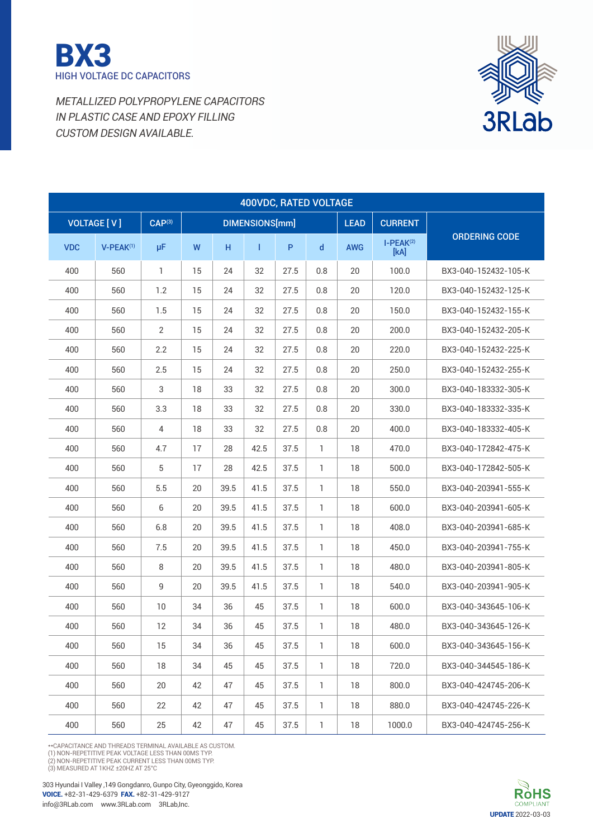



| 400VDC, RATED VOLTAGE |                    |                    |    |      |                |      |              |             |                     |                      |
|-----------------------|--------------------|--------------------|----|------|----------------|------|--------------|-------------|---------------------|----------------------|
|                       | <b>VOLTAGE [V]</b> | CAP <sup>(3)</sup> |    |      | DIMENSIONS[mm] |      |              | <b>LEAD</b> | <b>CURRENT</b>      |                      |
| <b>VDC</b>            | $V-PEAK(1)$        | μF                 | W  | н    | T              | P    | $\mathsf{d}$ | <b>AWG</b>  | $I-PEAK(2)$<br>[kA] | <b>ORDERING CODE</b> |
| 400                   | 560                | 1                  | 15 | 24   | 32             | 27.5 | 0.8          | 20          | 100.0               | BX3-040-152432-105-K |
| 400                   | 560                | 1.2                | 15 | 24   | 32             | 27.5 | 0.8          | 20          | 120.0               | BX3-040-152432-125-K |
| 400                   | 560                | 1.5                | 15 | 24   | 32             | 27.5 | 0.8          | 20          | 150.0               | BX3-040-152432-155-K |
| 400                   | 560                | $\overline{2}$     | 15 | 24   | 32             | 27.5 | 0.8          | 20          | 200.0               | BX3-040-152432-205-K |
| 400                   | 560                | 2.2                | 15 | 24   | 32             | 27.5 | 0.8          | 20          | 220.0               | BX3-040-152432-225-K |
| 400                   | 560                | 2.5                | 15 | 24   | 32             | 27.5 | 0.8          | 20          | 250.0               | BX3-040-152432-255-K |
| 400                   | 560                | 3                  | 18 | 33   | 32             | 27.5 | 0.8          | 20          | 300.0               | BX3-040-183332-305-K |
| 400                   | 560                | 3.3                | 18 | 33   | 32             | 27.5 | 0.8          | 20          | 330.0               | BX3-040-183332-335-K |
| 400                   | 560                | 4                  | 18 | 33   | 32             | 27.5 | 0.8          | 20          | 400.0               | BX3-040-183332-405-K |
| 400                   | 560                | 4.7                | 17 | 28   | 42.5           | 37.5 | 1            | 18          | 470.0               | BX3-040-172842-475-K |
| 400                   | 560                | 5                  | 17 | 28   | 42.5           | 37.5 | $\mathbf{1}$ | 18          | 500.0               | BX3-040-172842-505-K |
| 400                   | 560                | 5.5                | 20 | 39.5 | 41.5           | 37.5 | 1            | 18          | 550.0               | BX3-040-203941-555-K |
| 400                   | 560                | 6                  | 20 | 39.5 | 41.5           | 37.5 | 1            | 18          | 600.0               | BX3-040-203941-605-K |
| 400                   | 560                | 6.8                | 20 | 39.5 | 41.5           | 37.5 | 1            | 18          | 408.0               | BX3-040-203941-685-K |
| 400                   | 560                | 7.5                | 20 | 39.5 | 41.5           | 37.5 | 1            | 18          | 450.0               | BX3-040-203941-755-K |
| 400                   | 560                | 8                  | 20 | 39.5 | 41.5           | 37.5 | 1            | 18          | 480.0               | BX3-040-203941-805-K |
| 400                   | 560                | $\mathsf g$        | 20 | 39.5 | 41.5           | 37.5 | 1            | 18          | 540.0               | BX3-040-203941-905-K |
| 400                   | 560                | 10                 | 34 | 36   | 45             | 37.5 | 1            | 18          | 600.0               | BX3-040-343645-106-K |
| 400                   | 560                | 12                 | 34 | 36   | 45             | 37.5 | 1            | 18          | 480.0               | BX3-040-343645-126-K |
| 400                   | 560                | 15                 | 34 | 36   | 45             | 37.5 | 1            | 18          | 600.0               | BX3-040-343645-156-K |
| 400                   | 560                | 18                 | 34 | 45   | 45             | 37.5 | $\mathbf{1}$ | 18          | 720.0               | BX3-040-344545-186-K |
| 400                   | 560                | 20                 | 42 | 47   | 45             | 37.5 | 1            | 18          | 800.0               | BX3-040-424745-206-K |
| 400                   | 560                | 22                 | 42 | 47   | 45             | 37.5 | $\mathbf{1}$ | 18          | 880.0               | BX3-040-424745-226-K |
| 400                   | 560                | 25                 | 42 | 47   | 45             | 37.5 | 1            | 18          | 1000.0              | BX3-040-424745-256-K |

\*\*CAPACITANCE AND THREADS TERMINAL AVAILABLE AS CUSTOM.

(1) NON-REPETITIVE PEAK VOLTAGE LESS THAN 00MS TYP.<br>(2) NON-REPETITIVE PEAK CURRENT LESS THAN 00MS TYP.<br>(3) MEASURED AT 1 KHZ ±20HZ AT 25°C

303 Hyundai I Valley ,149 Gongdanro, Gunpo City, Gyeonggido, Korea voice. +82-31-429-6379 fax. +82-31-429-9127 info@3RLab.com www.3RLab.com 3RLab,Inc.

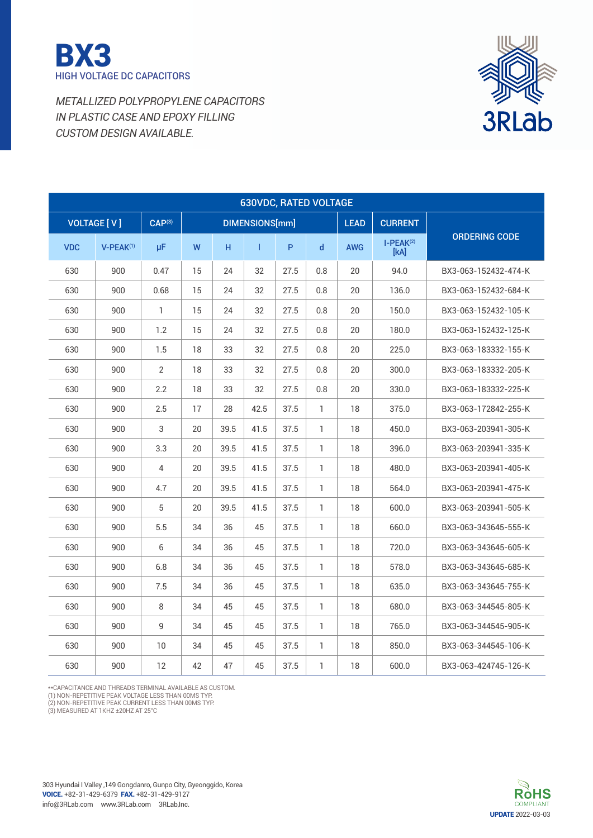



| <b>630VDC, RATED VOLTAGE</b> |                    |                    |    |      |                |      |              |             |                     |                      |  |  |  |
|------------------------------|--------------------|--------------------|----|------|----------------|------|--------------|-------------|---------------------|----------------------|--|--|--|
|                              | <b>VOLTAGE [V]</b> | CAP <sup>(3)</sup> |    |      | DIMENSIONS[mm] |      |              | <b>LEAD</b> | <b>CURRENT</b>      |                      |  |  |  |
| <b>VDC</b>                   | $V-PEAK^{(1)}$     | μF                 | W  | H.   | $\mathbf{I}$   | P    | $\mathsf{d}$ | <b>AWG</b>  | $I-PEAK(2)$<br>[kA] | <b>ORDERING CODE</b> |  |  |  |
| 630                          | 900                | 0.47               | 15 | 24   | 32             | 27.5 | 0.8          | 20          | 94.0                | BX3-063-152432-474-K |  |  |  |
| 630                          | 900                | 0.68               | 15 | 24   | 32             | 27.5 | 0.8          | 20          | 136.0               | BX3-063-152432-684-K |  |  |  |
| 630                          | 900                | 1                  | 15 | 24   | 32             | 27.5 | 0.8          | 20          | 150.0               | BX3-063-152432-105-K |  |  |  |
| 630                          | 900                | 1.2                | 15 | 24   | 32             | 27.5 | 0.8          | 20          | 180.0               | BX3-063-152432-125-K |  |  |  |
| 630                          | 900                | 1.5                | 18 | 33   | 32             | 27.5 | 0.8          | 20          | 225.0               | BX3-063-183332-155-K |  |  |  |
| 630                          | 900                | $\overline{2}$     | 18 | 33   | 32             | 27.5 | 0.8          | 20          | 300.0               | BX3-063-183332-205-K |  |  |  |
| 630                          | 900                | 2.2                | 18 | 33   | 32             | 27.5 | 0.8          | 20          | 330.0               | BX3-063-183332-225-K |  |  |  |
| 630                          | 900                | 2.5                | 17 | 28   | 42.5           | 37.5 | 1            | 18          | 375.0               | BX3-063-172842-255-K |  |  |  |
| 630                          | 900                | 3                  | 20 | 39.5 | 41.5           | 37.5 | 1            | 18          | 450.0               | BX3-063-203941-305-K |  |  |  |
| 630                          | 900                | 3.3                | 20 | 39.5 | 41.5           | 37.5 | $\mathbf{1}$ | 18          | 396.0               | BX3-063-203941-335-K |  |  |  |
| 630                          | 900                | $\overline{4}$     | 20 | 39.5 | 41.5           | 37.5 | $\mathbf{1}$ | 18          | 480.0               | BX3-063-203941-405-K |  |  |  |
| 630                          | 900                | 4.7                | 20 | 39.5 | 41.5           | 37.5 | $\mathbf{1}$ | 18          | 564.0               | BX3-063-203941-475-K |  |  |  |
| 630                          | 900                | $5\,$              | 20 | 39.5 | 41.5           | 37.5 | 1            | 18          | 600.0               | BX3-063-203941-505-K |  |  |  |
| 630                          | 900                | 5.5                | 34 | 36   | 45             | 37.5 | 1            | 18          | 660.0               | BX3-063-343645-555-K |  |  |  |
| 630                          | 900                | 6                  | 34 | 36   | 45             | 37.5 | 1            | 18          | 720.0               | BX3-063-343645-605-K |  |  |  |
| 630                          | 900                | 6.8                | 34 | 36   | 45             | 37.5 | 1            | 18          | 578.0               | BX3-063-343645-685-K |  |  |  |
| 630                          | 900                | 7.5                | 34 | 36   | 45             | 37.5 | 1            | 18          | 635.0               | BX3-063-343645-755-K |  |  |  |
| 630                          | 900                | 8                  | 34 | 45   | 45             | 37.5 | 1            | 18          | 680.0               | BX3-063-344545-805-K |  |  |  |
| 630                          | 900                | 9                  | 34 | 45   | 45             | 37.5 | 1            | 18          | 765.0               | BX3-063-344545-905-K |  |  |  |
| 630                          | 900                | 10                 | 34 | 45   | 45             | 37.5 | 1            | 18          | 850.0               | BX3-063-344545-106-K |  |  |  |
| 630                          | 900                | 12                 | 42 | 47   | 45             | 37.5 | 1            | 18          | 600.0               | BX3-063-424745-126-K |  |  |  |

\*\*CAPACITANCE AND THREADS TERMINAL AVAILABLE AS CUSTOM.<br>(1) NON-REPETITIVE PEAK VOLTAGE LESS THAN 00MS TYP.<br>(2) NON-REPETITIVE PEAK CURRENT LESS THAN 00MS TYP.<br>(3) MEASURED AT 1KHZ ±20HZ AT 25°C

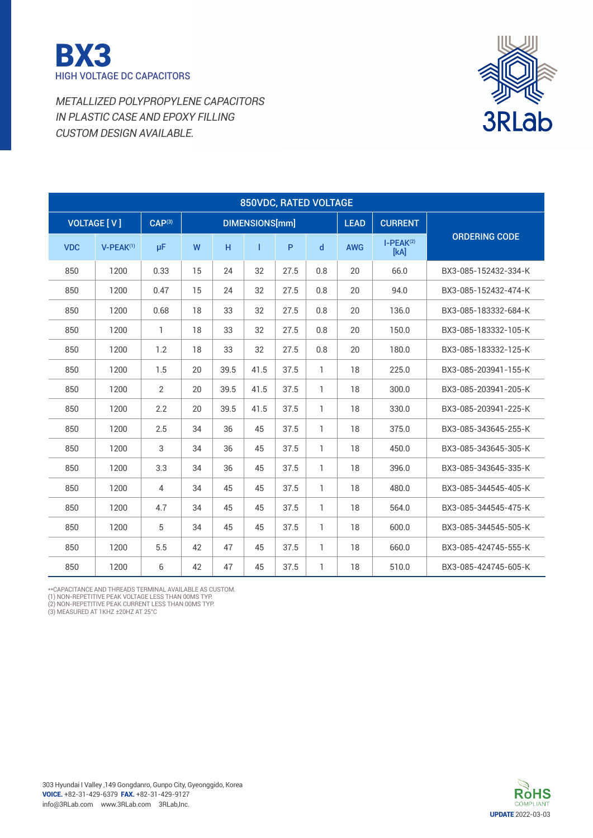



| <b>850VDC, RATED VOLTAGE</b> |                    |                    |    |      |                       |      |     |             |                     |                      |
|------------------------------|--------------------|--------------------|----|------|-----------------------|------|-----|-------------|---------------------|----------------------|
|                              | <b>VOLTAGE [V]</b> | CAP <sup>(3)</sup> |    |      | <b>DIMENSIONS[mm]</b> |      |     | <b>LEAD</b> | <b>CURRENT</b>      |                      |
| <b>VDC</b>                   | $V-PEAK^{(1)}$     | μF                 | W  | H    | Т                     | P    | d   | <b>AWG</b>  | $I-PEAK(2)$<br>[kA] | <b>ORDERING CODE</b> |
| 850                          | 1200               | 0.33               | 15 | 24   | 32                    | 27.5 | 0.8 | 20          | 66.0                | BX3-085-152432-334-K |
| 850                          | 1200               | 0.47               | 15 | 24   | 32                    | 27.5 | 0.8 | 20          | 94.0                | BX3-085-152432-474-K |
| 850                          | 1200               | 0.68               | 18 | 33   | 32                    | 27.5 | 0.8 | 20          | 136.0               | BX3-085-183332-684-K |
| 850                          | 1200               | 1                  | 18 | 33   | 32                    | 27.5 | 0.8 | 20          | 150.0               | BX3-085-183332-105-K |
| 850                          | 1200               | 1.2                | 18 | 33   | 32                    | 27.5 | 0.8 | 20          | 180.0               | BX3-085-183332-125-K |
| 850                          | 1200               | 1.5                | 20 | 39.5 | 41.5                  | 37.5 | 1   | 18          | 225.0               | BX3-085-203941-155-K |
| 850                          | 1200               | $\overline{2}$     | 20 | 39.5 | 41.5                  | 37.5 | 1   | 18          | 300.0               | BX3-085-203941-205-K |
| 850                          | 1200               | 2.2                | 20 | 39.5 | 41.5                  | 37.5 | 1   | 18          | 330.0               | BX3-085-203941-225-K |
| 850                          | 1200               | 2.5                | 34 | 36   | 45                    | 37.5 | 1.  | 18          | 375.0               | BX3-085-343645-255-K |
| 850                          | 1200               | 3                  | 34 | 36   | 45                    | 37.5 | 1   | 18          | 450.0               | BX3-085-343645-305-K |
| 850                          | 1200               | 3.3                | 34 | 36   | 45                    | 37.5 | 1   | 18          | 396.0               | BX3-085-343645-335-K |
| 850                          | 1200               | 4                  | 34 | 45   | 45                    | 37.5 | 1   | 18          | 480.0               | BX3-085-344545-405-K |
| 850                          | 1200               | 4.7                | 34 | 45   | 45                    | 37.5 | 1   | 18          | 564.0               | BX3-085-344545-475-K |
| 850                          | 1200               | 5                  | 34 | 45   | 45                    | 37.5 | 1   | 18          | 600.0               | BX3-085-344545-505-K |
| 850                          | 1200               | 5.5                | 42 | 47   | 45                    | 37.5 | 1   | 18          | 660.0               | BX3-085-424745-555-K |
| 850                          | 1200               | 6                  | 42 | 47   | 45                    | 37.5 | 1   | 18          | 510.0               | BX3-085-424745-605-K |

\*\*CAPACITANCE AND THREADS TERMINAL AVAILABLE AS CUSTOM.<br>(1) NON-REPETITIVE PEAK VOLTAGE LESS THAN 00MS TYP.<br>(2) NON-REPETITIVE PEAK CURRENT LESS THAN 00MS TYP.<br>(3) MEASURED AT 1KHZ ±20HZ AT 25°C

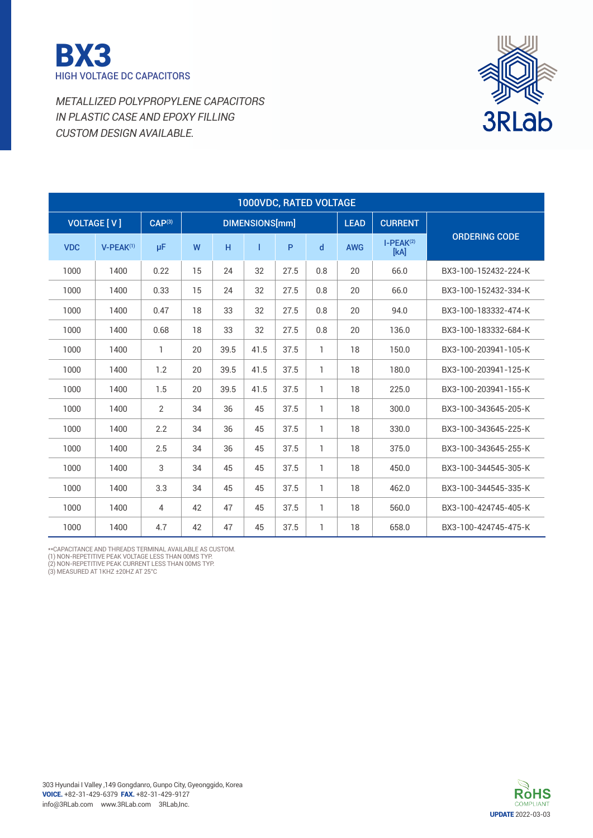



| 1000VDC, RATED VOLTAGE |                    |                    |    |      |                |              |              |             |                     |                      |
|------------------------|--------------------|--------------------|----|------|----------------|--------------|--------------|-------------|---------------------|----------------------|
|                        | <b>VOLTAGE [V]</b> | CAP <sup>(3)</sup> |    |      | DIMENSIONS[mm] |              |              | <b>LEAD</b> | <b>CURRENT</b>      |                      |
| <b>VDC</b>             | $V-PEAK^{(1)}$     | μF                 | W  | H    | T              | $\mathsf{P}$ | $\mathsf{d}$ | <b>AWG</b>  | $I-PEAK(2)$<br>[kA] | <b>ORDERING CODE</b> |
| 1000                   | 1400               | 0.22               | 15 | 24   | 32             | 27.5         | 0.8          | 20          | 66.0                | BX3-100-152432-224-K |
| 1000                   | 1400               | 0.33               | 15 | 24   | 32             | 27.5         | 0.8          | 20          | 66.0                | BX3-100-152432-334-K |
| 1000                   | 1400               | 0.47               | 18 | 33   | 32             | 27.5         | 0.8          | 20          | 94.0                | BX3-100-183332-474-K |
| 1000                   | 1400               | 0.68               | 18 | 33   | 32             | 27.5         | 0.8          | 20          | 136.0               | BX3-100-183332-684-K |
| 1000                   | 1400               | 1                  | 20 | 39.5 | 41.5           | 37.5         | 1            | 18          | 150.0               | BX3-100-203941-105-K |
| 1000                   | 1400               | 1.2                | 20 | 39.5 | 41.5           | 37.5         | 1            | 18          | 180.0               | BX3-100-203941-125-K |
| 1000                   | 1400               | 1.5                | 20 | 39.5 | 41.5           | 37.5         | 1            | 18          | 225.0               | BX3-100-203941-155-K |
| 1000                   | 1400               | $\overline{2}$     | 34 | 36   | 45             | 37.5         | 1            | 18          | 300.0               | BX3-100-343645-205-K |
| 1000                   | 1400               | 2.2                | 34 | 36   | 45             | 37.5         | 1            | 18          | 330.0               | BX3-100-343645-225-K |
| 1000                   | 1400               | 2.5                | 34 | 36   | 45             | 37.5         | 1            | 18          | 375.0               | BX3-100-343645-255-K |
| 1000                   | 1400               | 3                  | 34 | 45   | 45             | 37.5         | 1            | 18          | 450.0               | BX3-100-344545-305-K |
| 1000                   | 1400               | 3.3                | 34 | 45   | 45             | 37.5         | 1            | 18          | 462.0               | BX3-100-344545-335-K |
| 1000                   | 1400               | 4                  | 42 | 47   | 45             | 37.5         | 1            | 18          | 560.0               | BX3-100-424745-405-K |
| 1000                   | 1400               | 4.7                | 42 | 47   | 45             | 37.5         | 1            | 18          | 658.0               | BX3-100-424745-475-K |

\*\*CAPACITANCE AND THREADS TERMINAL AVAILABLE AS CUSTOM.<br>(1) NON-REPETITIVE PEAK VOLTAGE LESS THAN 00MS TYP.<br>(2) NON-REPETITIVE PEAK CURRENT LESS THAN 00MS TYP.<br>(3) MEASURED AT 1KHZ ±20HZ AT 25°C